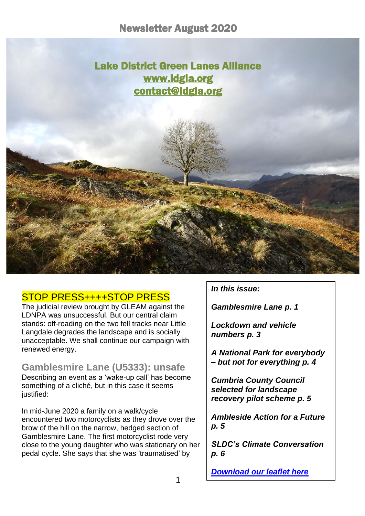i

# Lake District Green Lanes Alliance [www.ldgla.org](http://www.ldgla.org/)  [contact@ldgla.org](mailto:contact@ldgla.org)

# STOP PRESS++++STOP PRESS

The judicial review brought by GLEAM against the LDNPA was unsuccessful. But our central claim stands: off-roading on the two fell tracks near Little Langdale degrades the landscape and is socially unacceptable. We shall continue our campaign with renewed energy.

### **Gamblesmire Lane (U5333): unsafe**

Describing an event as a 'wake-up call' has become something of a cliché, but in this case it seems justified:

In mid-June 2020 a family on a walk/cycle encountered two motorcyclists as they drove over the brow of the hill on the narrow, hedged section of Gamblesmire Lane. The first motorcyclist rode very close to the young daughter who was stationary on her pedal cycle. She says that she was 'traumatised' by

*In this issue:*

*Gamblesmire Lane p. 1*

*Lockdown and vehicle numbers p. 3*

*A National Park for everybody – but not for everything p. 4*

*Cumbria County Council selected for landscape recovery pilot scheme p. 5*

*Ambleside Action for a Future p. 5*

*SLDC's Climate Conversation p. 6* 

*[Download our leaflet here](https://d93992ec-49a9-490d-8cd2-4c8f6682bde7.filesusr.com/ugd/269609_4dfa44ecc9c94858b47eb7b5075a5d50.pdf)*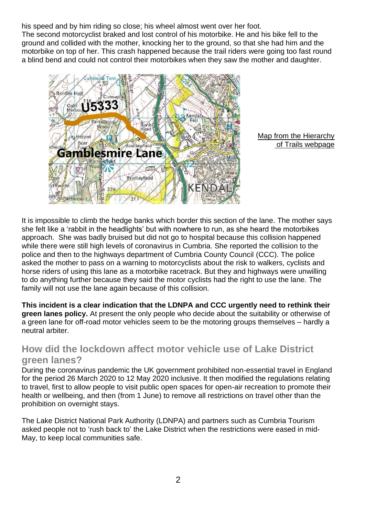his speed and by him riding so close; his wheel almost went over her foot. The second motorcyclist braked and lost control of his motorbike. He and his bike fell to the ground and collided with the mother, knocking her to the ground, so that she had him and the motorbike on top of her. This crash happened because the trail riders were going too fast round a blind bend and could not control their motorbikes when they saw the mother and daughter.



Map from the Hierarchy of Trails webpage

It is impossible to climb the hedge banks which border this section of the lane. The mother says she felt like a 'rabbit in the headlights' but with nowhere to run, as she heard the motorbikes approach. She was badly bruised but did not go to hospital because this collision happened while there were still high levels of coronavirus in Cumbria. She reported the collision to the police and then to the highways department of Cumbria County Council (CCC). The police asked the mother to pass on a warning to motorcyclists about the risk to walkers, cyclists and horse riders of using this lane as a motorbike racetrack. But they and highways were unwilling to do anything further because they said the motor cyclists had the right to use the lane. The family will not use the lane again because of this collision.

**This incident is a clear indication that the LDNPA and CCC urgently need to rethink their green lanes policy.** At present the only people who decide about the suitability or otherwise of a green lane for off-road motor vehicles seem to be the motoring groups themselves – hardly a neutral arbiter.

## **How did the lockdown affect motor vehicle use of Lake District green lanes?**

During the coronavirus pandemic the UK government prohibited non-essential travel in England for the period 26 March 2020 to 12 May 2020 inclusive. It then modified the regulations relating to travel, first to allow people to visit public open spaces for open-air recreation to promote their health or wellbeing, and then (from 1 June) to remove all restrictions on travel other than the prohibition on overnight stays.

The Lake District National Park Authority (LDNPA) and partners such as Cumbria Tourism asked people not to 'rush back to' the Lake District when the restrictions were eased in mid-May, to keep local communities safe.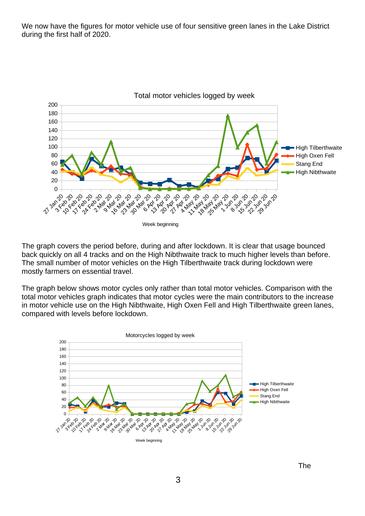We now have the figures for motor vehicle use of four sensitive green lanes in the Lake District during the first half of 2020.



The graph covers the period before, during and after lockdown. It is clear that usage bounced back quickly on all 4 tracks and on the High Nibthwaite track to much higher levels than before. The small number of motor vehicles on the High Tilberthwaite track during lockdown were mostly farmers on essential travel.

The graph below shows motor cycles only rather than total motor vehicles. Comparison with the total motor vehicles graph indicates that motor cycles were the main contributors to the increase in motor vehicle use on the High Nibthwaite, High Oxen Fell and High Tilberthwaite green lanes, compared with levels before lockdown.



The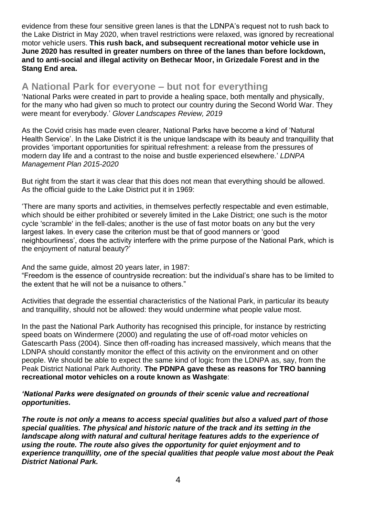evidence from these four sensitive green lanes is that the LDNPA's request not to rush back to the Lake District in May 2020, when travel restrictions were relaxed, was ignored by recreational motor vehicle users. **This rush back, and subsequent recreational motor vehicle use in June 2020 has resulted in greater numbers on three of the lanes than before lockdown, and to anti-social and illegal activity on Bethecar Moor, in Grizedale Forest and in the Stang End area.**

### **A National Park for everyone – but not for everything**

'National Parks were created in part to provide a healing space, both mentally and physically, for the many who had given so much to protect our country during the Second World War. They were meant for everybody.' *Glover Landscapes Review, 2019*

As the Covid crisis has made even clearer, National Parks have become a kind of 'Natural Health Service'. In the Lake District it is the unique landscape with its beauty and tranquillity that provides 'important opportunities for spiritual refreshment: a release from the pressures of modern day life and a contrast to the noise and bustle experienced elsewhere.' *LDNPA Management Plan 2015-2020*

But right from the start it was clear that this does not mean that everything should be allowed. As the official guide to the Lake District put it in 1969:

'There are many sports and activities, in themselves perfectly respectable and even estimable, which should be either prohibited or severely limited in the Lake District; one such is the motor cycle 'scramble' in the fell-dales; another is the use of fast motor boats on any but the very largest lakes. In every case the criterion must be that of good manners or 'good neighbourliness', does the activity interfere with the prime purpose of the National Park, which is the enjoyment of natural beauty?'

And the same guide, almost 20 years later, in 1987:

"Freedom is the essence of countryside recreation: but the individual's share has to be limited to the extent that he will not be a nuisance to others."

Activities that degrade the essential characteristics of the National Park, in particular its beauty and tranquillity, should not be allowed: they would undermine what people value most.

In the past the National Park Authority has recognised this principle, for instance by restricting speed boats on Windermere (2000) and regulating the use of off-road motor vehicles on Gatescarth Pass (2004). Since then off-roading has increased massively, which means that the LDNPA should constantly monitor the effect of this activity on the environment and on other people. We should be able to expect the same kind of logic from the LDNPA as, say, from the Peak District National Park Authority. **The PDNPA gave these as reasons for TRO banning recreational motor vehicles on a route known as Washgate**:

#### *'National Parks were designated on grounds of their scenic value and recreational opportunities.*

*The route is not only a means to access special qualities but also a valued part of those special qualities. The physical and historic nature of the track and its setting in the landscape along with natural and cultural heritage features adds to the experience of using the route. The route also gives the opportunity for quiet enjoyment and to experience tranquillity, one of the special qualities that people value most about the Peak District National Park.*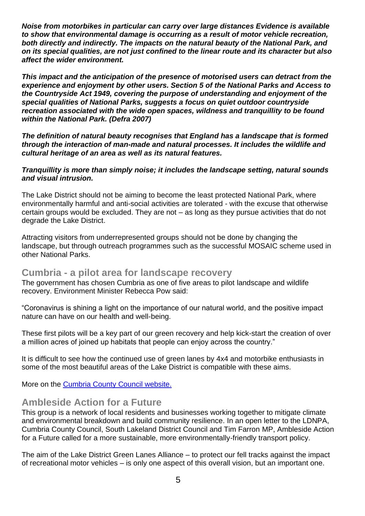*Noise from motorbikes in particular can carry over large distances Evidence is available to show that environmental damage is occurring as a result of motor vehicle recreation, both directly and indirectly. The impacts on the natural beauty of the National Park, and on its special qualities, are not just confined to the linear route and its character but also affect the wider environment.* 

*This impact and the anticipation of the presence of motorised users can detract from the experience and enjoyment by other users. Section 5 of the National Parks and Access to the Countryside Act 1949, covering the purpose of understanding and enjoyment of the special qualities of National Parks, suggests a focus on quiet outdoor countryside recreation associated with the wide open spaces, wildness and tranquillity to be found within the National Park. (Defra 2007)*

*The definition of natural beauty recognises that England has a landscape that is formed through the interaction of man-made and natural processes. It includes the wildlife and cultural heritage of an area as well as its natural features.*

#### *Tranquillity is more than simply noise; it includes the landscape setting, natural sounds and visual intrusion.*

The Lake District should not be aiming to become the least protected National Park, where environmentally harmful and anti-social activities are tolerated - with the excuse that otherwise certain groups would be excluded. They are not – as long as they pursue activities that do not degrade the Lake District.

Attracting visitors from underrepresented groups should not be done by changing the landscape, but through outreach programmes such as the successful MOSAIC scheme used in other National Parks.

### **Cumbria - a pilot area for landscape recovery**

The government has chosen Cumbria as one of five areas to pilot landscape and wildlife recovery. Environment Minister Rebecca Pow said:

"Coronavirus is shining a light on the importance of our natural world, and the positive impact nature can have on our health and well-being.

These first pilots will be a key part of our green recovery and help kick-start the creation of over a million acres of joined up habitats that people can enjoy across the country."

It is difficult to see how the continued use of green lanes by 4x4 and motorbike enthusiasts in some of the most beautiful areas of the Lake District is compatible with these aims.

More on the [Cumbria County Council website.](https://news.cumbria.gov.uk/News/2018/cumbriaconfirmedaspilottohelprecoverenglandsnature.aspx)

## **Ambleside Action for a Future**

This group is a network of local residents and businesses working together to mitigate climate and environmental breakdown and build community resilience. In an open letter to the LDNPA, Cumbria County Council, South Lakeland District Council and Tim Farron MP, Ambleside Action for a Future called for a more sustainable, more environmentally-friendly transport policy.

The aim of the Lake District Green Lanes Alliance – to protect our fell tracks against the impact of recreational motor vehicles – is only one aspect of this overall vision, but an important one.